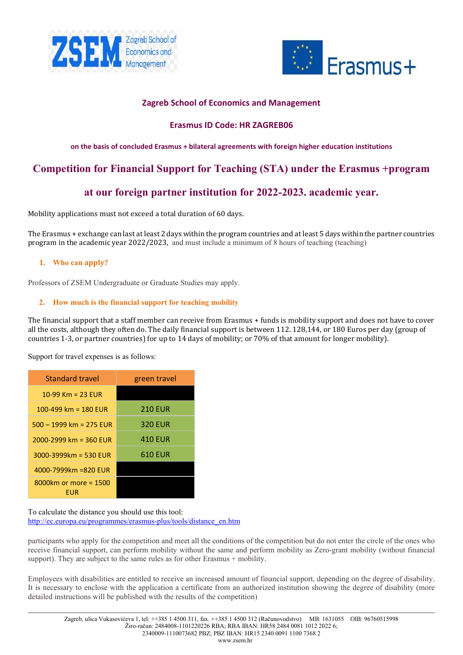



# **Zagreb School of Economics and Management**

# **Erasmus ID Code: HR ZAGREB06**

# **on the basis of concluded Erasmus + bilateral agreements with foreign higher education institutions**

# **Competition for Financial Support for Teaching (STA) under the Erasmus +program**

# **at our foreign partner institution for 2022-2023. academic year.**

Mobility applications must not exceed a total duration of 60 days.

The Erasmus + exchange can last at least 2 days within the program countries and at least 5 days within the partner countries program in the academic year 2022/2023, and must include a minimum of 8 hours of teaching (teaching)

# **1. Who can apply?**

Professors of ZSEM Undergraduate or Graduate Studies may apply.

# **2. How much is the financial support for teaching mobility**

The financial support that a staff member can receive from Erasmus + funds is mobility support and does not have to cover all the costs, although they often do. The daily financial support is between 112. 128,144, or 180 Euros per day (group of countries 1-3, or partner countries) for up to 14 days of mobility; or 70% of that amount for longer mobility).

Support for travel expenses is as follows:

| Standard travel                 | green travel   |
|---------------------------------|----------------|
| 10-99 Km = 23 EUR               |                |
| 100-499 km = 180 EUR            | <b>210 EUR</b> |
| $500 - 1999$ km = 275 EUR       | <b>320 EUR</b> |
| $2000 - 2999$ km = 360 EUR      | 410 EUR        |
| $3000 - 3999$ km = 530 EUR      | 610 EUR        |
| 4000-7999km =820 EUR            |                |
| $8000$ km or more = 1500<br>EUR |                |

To calculate the distance you should use this tool: [http://ec.europa.eu/programmes/erasmus](http://ec.europa.eu/programmes/erasmus-plus/tools/distance_en.htm)-plus/tools/distance\_en.htm

participants who apply for the competition and meet all the conditions of the competition but do not enter the circle of the ones who receive financial support, can perform mobility without the same and perform mobility as Zero-grant mobility (without financial support). They are subject to the same rules as for other Erasmus  $+$  mobility.

Employees with disabilities are entitled to receive an increased amount of financial support, depending on the degree of disability. It is necessary to enclose with the application a certificate from an authorized institution showing the degree of disability (more detailed instructions will be published with the results of the competition)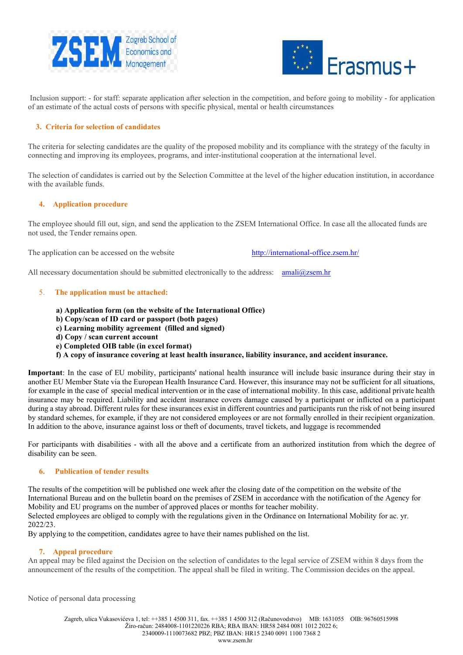



Inclusion support: - for staff: separate application after selection in the competition, and before going to mobility - for application of an estimate of the actual costs of persons with specific physical, mental or health circumstances

### **3. Criteria for selection of candidates**

The criteria for selecting candidates are the quality of the proposed mobility and its compliance with the strategy of the faculty in connecting and improving its employees, programs, and inter-institutional cooperation at the international level.

The selection of candidates is carried out by the Selection Committee at the level of the higher education institution, in accordance with the available funds.

### **4. Application procedure**

The employee should fill out, sign, and send the application to the ZSEM International Office. In case all the allocated funds are not used, the Tender remains open.

The application can be accessed on the website [http://international](http://international-office.zsem.hr/)-office.zsem.hr/

All necessary documentation should be submitted electronically to the address:  $amali@zsem/hr$ 

### 5. **The application must be attached:**

- **a) Application form (on the website of the International Office)**
- **b) Copy/scan of ID card or passport (both pages)**
- **c) Learning mobility agreement (filled and signed)**
- **d) Copy / scan current account**
- **e) Completed OIB table (in excel format)**
- **f) A copy of insurance covering at least health insurance, liability insurance, and accident insurance.**

**Important**: In the case of EU mobility, participants' national health insurance will include basic insurance during their stay in another EU Member State via the European Health Insurance Card. However, this insurance may not be sufficient for all situations, for example in the case of special medical intervention or in the case of international mobility. In this case, additional private health insurance may be required. Liability and accident insurance covers damage caused by a participant or inflicted on a participant during a stay abroad. Different rules for these insurances exist in different countries and participants run the risk of not being insured by standard schemes, for example, if they are not considered employees or are not formally enrolled in their recipient organization. In addition to the above, insurance against loss or theft of documents, travel tickets, and luggage is recommended

For participants with disabilities - with all the above and a certificate from an authorized institution from which the degree of disability can be seen.

### **6. Publication of tender results**

The results of the competition will be published one week after the closing date of the competition on the website of the International Bureau and on the bulletin board on the premises of ZSEM in accordance with the notification of the Agency for Mobility and EU programs on the number of approved places or months for teacher mobility.

Selected employees are obliged to comply with the regulations given in the Ordinance on International Mobility for ac. yr. 2022/23.

By applying to the competition, candidates agree to have their names published on the list.

### **7. Appeal procedure**

An appeal may be filed against the Decision on the selection of candidates to the legal service of ZSEM within 8 days from the announcement of the results of the competition. The appeal shall be filed in writing. The Commission decides on the appeal.

Notice of personal data processing